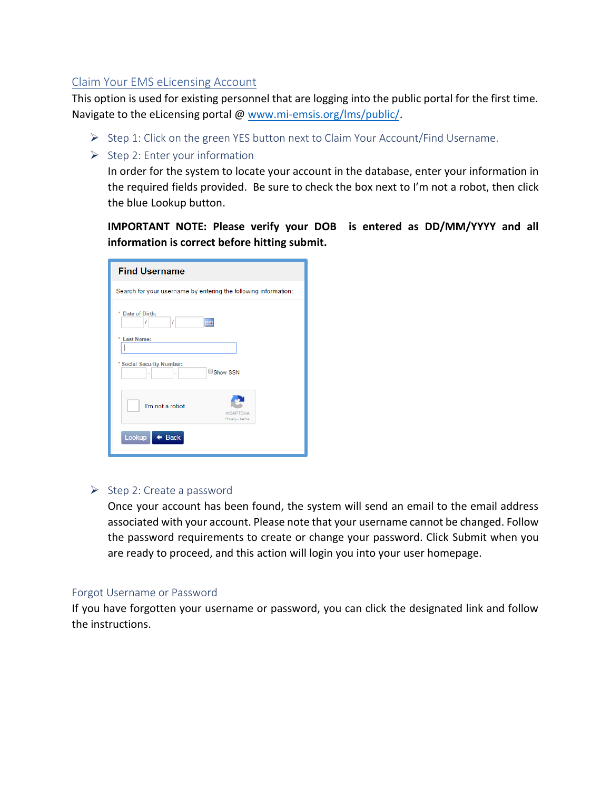## Claim Your EMS eLicensing Account

This option is used for existing personnel that are logging into the public portal for the first time. Navigate to the eLicensing portal @ [www.mi-emsis.org/l](http://www.mi-emsis.org/licensure)ms/public/.

- $\triangleright$  Step 1: Click on the green YES button next to Claim Your Account/Find Username.
- $\triangleright$  Step 2: Enter your information

In order for the system to locate your account in the database, enter your information in the required fields provided. Be sure to check the box next to I'm not a robot, then click the blue Lookup button.

**IMPORTANT NOTE: Please verify your DOB is entered as DD/MM/YYYY and all information is correct before hitting submit.**

| <b>Find Username</b>                                            |
|-----------------------------------------------------------------|
| Search for your username by entering the following information: |
| Date of Birth:<br>ı<br>1<br>₩                                   |
| <b>Last Name:</b>                                               |
| * Social Security Number:<br>$\Box$ Show SSN                    |
| I'm not a robot<br><b>reCAPTCHA</b><br>Privacy - Terms          |
| Lookup<br><b>Back</b>                                           |

## ➢ Step 2: Create a password

Once your account has been found, the system will send an email to the email address associated with your account. Please note that your username cannot be changed. Follow the password requirements to create or change your password. Click Submit when you are ready to proceed, and this action will login you into your user homepage.

## Forgot Username or Password

If you have forgotten your username or password, you can click the designated link and follow the instructions.